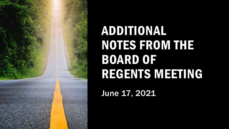

### ADDITIONAL NOTES FROM THE BOARD OF REGENTS MEETING

June 17, 2021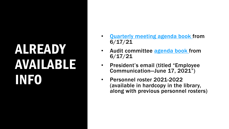# ALREADY AVAILABLE INFO

- [Quarterly meeting agenda book f](https://www.moreheadstate.edu/MSU/media/Board-of-Regents/June-17-2021-Quarterly-Board-Meeting-Agenda-Book.pdf)rom 6/17/21
- Audit committee [agenda book f](https://www.moreheadstate.edu/MSU/media/Board-of-Regents/June-17,-2021-Audit-Committee-Meeting-Agenda-Book.pdf)rom 6/17/21
- President's email (titled "Employee Communication—June 17, 2021")
- Personnel roster 2021-2022 (available in hardcopy in the library, along with previous personnel rosters)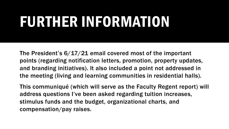# FURTHER INFORMATION

The President's 6/17/21 email covered most of the important points (regarding notification letters, promotion, property updates, and branding initiatives). It also included a point not addressed in the meeting (living and learning communities in residential halls).

This communiqué (which will serve as the Faculty Regent report) will address questions I've been asked regarding tuition increases, stimulus funds and the budget, organizational charts, and compensation/pay raises.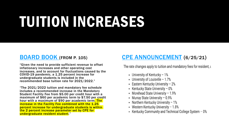# TUITION INCREASES

#### [BOARD BOOK \(](https://www.moreheadstate.edu/MSU/media/Board-of-Regents/June-17-2021-Quarterly-Board-Meeting-Agenda-Book.pdf)FROM P. 105)

"Given the need to provide sufficient revenue to offset inflationary increases and other operating cost increases, and to account for fluctuations caused by the COVID-19 pandemic, a 1.25 percent increase for undergraduate students is included in the recommended base tuition rate for 2021/2022."

"The 2021/2022 tuition and mandatory fee schedule includes a recommended increase in the Mandatory Student Facility Fee from \$5.00 per credit hour with a maximum of \$60 per academic term to \$7.50 per credit hour with a maximum of \$90 per academic term. The increase in the Facility Fee combined with the 1.25 percent increase for undergraduate students is within the 2 percent increase parameter set by CPE for undergraduate resident student."

#### [CPE ANNOUNCEMENT](https://kentucky.gov/Pages/Activity-stream.aspx?n=PostsecondaryEducationCouncil&prId=339) (6/25/21)

The rate changes apply to tuition and mandatory fees for resident, L

- University of Kentucky  $-1\%$
- University of Louisville 1.7%
- Eastern Kentucky University  $-2\%$
- Kentucky State University  $-0\%$
- Morehead State University 1.9%
- Murray State University 0.9%
- Northern Kentucky University 1%
- Western Kentucky University 1.8%
- Kentucky Community and Technical College System 0%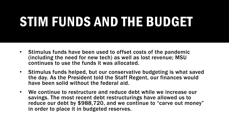### STIM FUNDS AND THE BUDGET

- Stimulus funds have been used to offset costs of the pandemic (including the need for new tech) as well as lost revenue; MSU continues to use the funds it was allocated.
- Stimulus funds helped, but our conservative budgeting is what saved the day. As the President told the Staff Regent, our finances would have been solid without the federal aid.
- We continue to restructure and reduce debt while we increase our savings. The most recent debt restructurings have allowed us to reduce our debt by \$988,720, and we continue to "carve out money" in order to place it in budgeted reserves.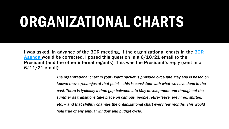# ORGANIZATIONAL CHARTS

I was asked, in advance of the BOR meeting, if the organizational charts in the BOR Agenda would be corrected. I posed this question in a  $6/10/21$  email to the President (and the other internal regents). This was the President's reply (sent in a 6/11/21 email):

> *The organizational chart in your Board packet is provided circa late May and is based on known moves/changes at that point – this is consistent with what we have done in the past. There is typically a time gap between late May development and throughout the summer as transitions take place on campus, people retire/leave, are hired, shifted, etc. – and that slightly changes the organizational chart every few months. This would hold true of any annual window and budget cycle.*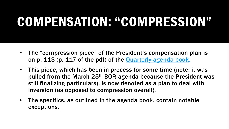#### COMPENSATION: "COMPRESSION"

- The "compression piece" of the President's compensation plan is on p. 113 (p. 117 of the pdf) of the [Quarterly agenda book](https://www.moreheadstate.edu/MSU/media/Board-of-Regents/June-17-2021-Quarterly-Board-Meeting-Agenda-Book.pdf).
- This piece, which has been in process for some time (note: it was pulled from the March 25th BOR agenda because the President was still finalizing particulars), is now denoted as a plan to deal with inversion (as opposed to compression overall).
- The specifics, as outlined in the agenda book, contain notable exceptions.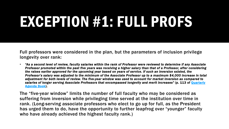# EXCEPTION #1: FULL PROFS

Full professors were considered in the plan, but the parameters of inclusion privilege longevity over rank:

• *"As a second level of review, faculty salaries within the rank of Professor were reviewed to determine if any Associate Professor promoted within the past five years was receiving a higher salary than that of a Professor, after considering the raises earlier approved for the upcoming year based on years of service. If such an inversion existed, the Professor's salary was adjusted to the minimum of the Associate Professor up to a maximum \$4,000 increase in total adjustment for both levels of review. The five-year window was used to account for market inversion as compared to [salaries of longer serving Associate Professors that encompassed longevity and merit increases"](https://www.moreheadstate.edu/MSU/media/Board-of-Regents/June-17-2021-Quarterly-Board-Meeting-Agenda-Book.pdf)* (p. 113 of Quarterly Agenda Book).

The "five-year window" limits the number of full faculty who may be considered as suffering from inversion while privileging time served at the institution over time in rank. (Long-serving associate professors who elect to go up for full, as the President has urged them to do, have the opportunity to further leapfrog over "younger" faculty who have already achieved the highest faculty rank.)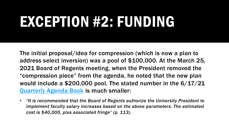# EXCEPTION #2: FUNDING

The initial proposal/idea for compression (which is now a plan to address select inversion) was a pool of \$100,000. At the March 25, 2021 Board of Regents meeting, when the President removed the "compression piece" from the agenda, he noted that the new plan would include a \$200,000 pool. The stated number in the 6/17/21 [Quarterly Agenda Book](https://www.moreheadstate.edu/MSU/media/Board-of-Regents/June-17-2021-Quarterly-Board-Meeting-Agenda-Book.pdf) is much smaller:

• *"It is recommended that the Board of Regents authorize the University President to implement faculty salary increases based on the above parameters. The estimated cost is \$40,000, plus associated fringe" (p. 113).*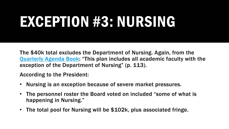# EXCEPTION #3: NURSING

The \$40k total excludes the Department of Nursing. Again, from the [Quarterly Agenda Book:](https://www.moreheadstate.edu/MSU/media/Board-of-Regents/June-17-2021-Quarterly-Board-Meeting-Agenda-Book.pdf) "This plan includes all academic faculty with the exception of the Department of Nursing" (p. 113).

According to the President:

- Nursing is an exception because of severe market pressures.
- The personnel roster the Board voted on included "some of what is happening in Nursing."
- The total pool for Nursing will be \$102k, plus associated fringe.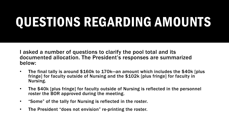### QUESTIONS REGARDING AMOUNTS

I asked a number of questions to clarify the pool total and its documented allocation. The President's responses are summarized below:

- The final tally is around \$160k to 170k—an amount which includes the \$40k [plus fringe] for faculty outside of Nursing and the \$102k [plus fringe] for faculty in Nursing.
- The \$40k [plus fringe] for faculty outside of Nursing is reflected in the personnel roster the BOR approved during the meeting.
- "Some" of the tally for Nursing is reflected in the roster.
- The President "does not envision" re-printing the roster.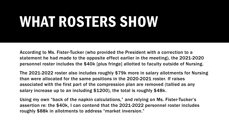# WHAT ROSTERS SHOW

According to Ms. Fister-Tucker (who provided the President with a correction to a statement he had made to the opposite effect earlier in the meeting), the 2021-2020 personnel roster includes the \$40k [plus fringe] allotted to faculty outside of Nursing.

The 2021-2022 roster also includes roughly \$79k more in salary allotments for Nursing than were allocated for the same positions in the 2020-2021 roster. If raises associated with the first part of the compression plan are removed (tallied as any salary increase up to an including \$1200), the total is roughly \$48k.

Using my own "back of the napkin calculations," and relying on Ms. Fister-Tucker's assertion re: the \$40k, I can contend that the 2021-2022 personnel roster includes roughly \$88k in allotments to address "market inversion."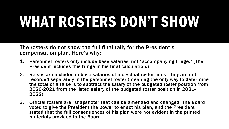# WHAT ROSTERS DON'T SHOW

The rosters do not show the full final tally for the President's compensation plan. Here's why:

- 1. Personnel rosters only include base salaries, not "accompanying fringe." (The President includes this fringe in his final calculation.)
- 2. Raises are included in base salaries of individual roster lines—they are not recorded separately in the personnel roster (meaning the only way to determine the total of a raise is to subtract the salary of the budgeted roster position from 2020-2021 from the listed salary of the budgeted roster position in 2021- 2022).
- 3. Official rosters are "snapshots" that can be amended and changed. The Board voted to give the President the power to enact his plan, and the President stated that the full consequences of his plan were not evident in the printed materials provided to the Board.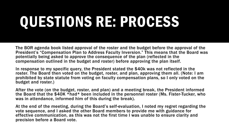# QUESTIONS RE: PROCESS

The BOR agenda book listed approval of the roster and the budget before the approval of the President's "Compensation Plan to Address Faculty Inversion." This means that the Board was potentially being asked to approve the consequence of the plan (reflected in the compensation outlined in the budget and roster) before approving the plan itself.

In response to my specific query, the President stated the \$40k was not reflected in the roster. The Board then voted on the budget, roster, and plan, approving them all. (Note: I am prohibited by state statute from voting on faculty compensation plans, so I only voted on the budget and roster.)

After the vote (on the budget, roster, and plan) and a meeting break, the President informed the Board that the \$40K \*had\* been included in the personnel roster (Ms. Fister-Tucker, who was in attendance, informed him of this during the break).

At the end of the meeting, during the Board's self-evaluation, I noted my regret regarding the vote sequence, and I asked the other Board members to provide me with guidance for effective communication, as this was not the first time I was unable to ensure clarity and precision before a Board vote.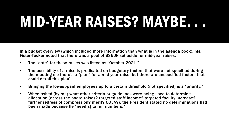# MID-YEAR RAISES? MAYBE. . .

In a budget overview (which included more information than what is in the agenda book), Ms. Fister-Tucker noted that there was a pool of \$350k set aside for mid-year raises.

- The "date" for these raises was listed as "October 2021."
- The possibility of a raise is predicated on budgetary factors that were not specified during the meeting (so there's a "plan" for a mid-year raise, but there are unspecified factors that could derail this plan)
- Bringing the lowest-paid employees up to a certain threshold (not specified) is a "priority."
- When asked (by me) what other criteria or guidelines were being used to determine allocation (across the board raises? targeted staff income? targeted faculty increase? further redress of compression? merit? COLA?), the President stated no determinations had been made because he "need[s] to run numbers."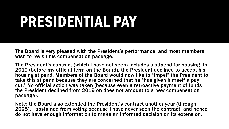# PRESIDENTIAL PAY

The Board is very pleased with the President's performance, and most members wish to revisit his compensation package.

The President's contract (which I have not seen) includes a stipend for housing. In 2019 (before my official term on the Board), the President declined to accept his housing stipend. Members of the Board would now like to "impel" the President to take this stipend because they are concerned that he "has given himself a pay cut." No official action was taken (because even a retroactive payment of funds the President declined from 2019 on does not amount to a new compensation package).

Note: the Board also extended the President's contract another year (through 2025). I abstained from voting because I have never seen the contract, and hence do not have enough information to make an informed decision on its extension.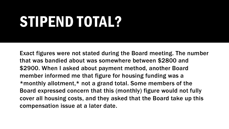# STIPEND TOTAL?

Exact figures were not stated during the Board meeting. The number that was bandied about was somewhere between \$2800 and \$2900. When I asked about payment method, another Board member informed me that figure for housing funding was a \*monthly allotment,\* not a grand total. Some members of the Board expressed concern that this (monthly) figure would not fully cover all housing costs, and they asked that the Board take up this compensation issue at a later date.